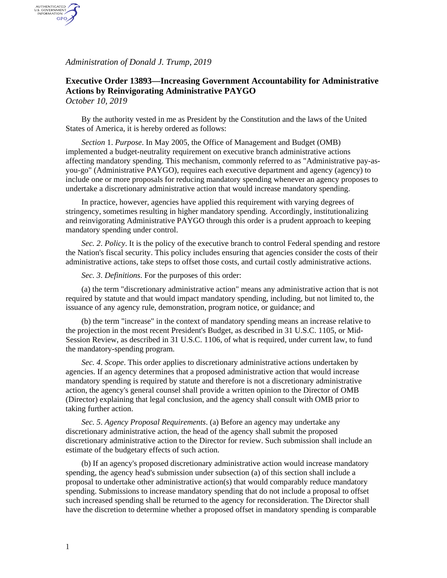*Administration of Donald J. Trump, 2019*

## **Executive Order 13893—Increasing Government Accountability for Administrative Actions by Reinvigorating Administrative PAYGO** *October 10, 2019*

AUTHENTICATED<br>U.S. GOVERNMENT<br>INFORMATION GPO

> By the authority vested in me as President by the Constitution and the laws of the United States of America, it is hereby ordered as follows:

*Section* 1. *Purpose*. In May 2005, the Office of Management and Budget (OMB) implemented a budget-neutrality requirement on executive branch administrative actions affecting mandatory spending. This mechanism, commonly referred to as "Administrative pay-asyou-go" (Administrative PAYGO), requires each executive department and agency (agency) to include one or more proposals for reducing mandatory spending whenever an agency proposes to undertake a discretionary administrative action that would increase mandatory spending.

In practice, however, agencies have applied this requirement with varying degrees of stringency, sometimes resulting in higher mandatory spending. Accordingly, institutionalizing and reinvigorating Administrative PAYGO through this order is a prudent approach to keeping mandatory spending under control.

*Sec. 2*. *Policy*. It is the policy of the executive branch to control Federal spending and restore the Nation's fiscal security. This policy includes ensuring that agencies consider the costs of their administrative actions, take steps to offset those costs, and curtail costly administrative actions.

*Sec. 3*. *Definitions*. For the purposes of this order:

(a) the term "discretionary administrative action" means any administrative action that is not required by statute and that would impact mandatory spending, including, but not limited to, the issuance of any agency rule, demonstration, program notice, or guidance; and

(b) the term "increase" in the context of mandatory spending means an increase relative to the projection in the most recent President's Budget, as described in 31 U.S.C. 1105, or Mid-Session Review, as described in 31 U.S.C. 1106, of what is required, under current law, to fund the mandatory-spending program.

*Sec. 4*. *Scope*. This order applies to discretionary administrative actions undertaken by agencies. If an agency determines that a proposed administrative action that would increase mandatory spending is required by statute and therefore is not a discretionary administrative action, the agency's general counsel shall provide a written opinion to the Director of OMB (Director) explaining that legal conclusion, and the agency shall consult with OMB prior to taking further action.

*Sec. 5*. *Agency Proposal Requirements*. (a) Before an agency may undertake any discretionary administrative action, the head of the agency shall submit the proposed discretionary administrative action to the Director for review. Such submission shall include an estimate of the budgetary effects of such action.

(b) If an agency's proposed discretionary administrative action would increase mandatory spending, the agency head's submission under subsection (a) of this section shall include a proposal to undertake other administrative action(s) that would comparably reduce mandatory spending. Submissions to increase mandatory spending that do not include a proposal to offset such increased spending shall be returned to the agency for reconsideration. The Director shall have the discretion to determine whether a proposed offset in mandatory spending is comparable